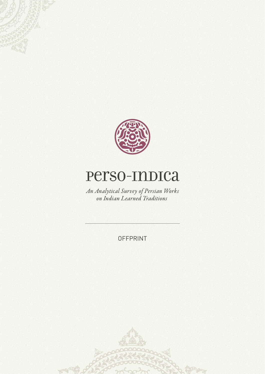

# Perso-Indica

An Analytical Survey of Persian Works on Indian Learned Traditions

OFFPRINT

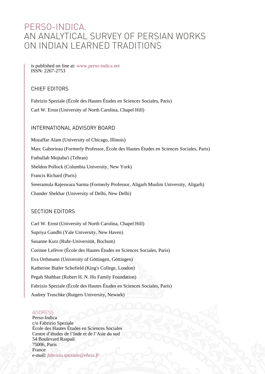## PERSO-INDICA. AN ANALYTICAL SURVEY OF PERSIAN WORKS ON INDIAN LEARNED TRADITIONS

is published on line at: [www.perso-indica.net](http://www.perso-indica.net) ISSN: 2267-2753

#### CHIEF EDITORS

Fabrizio Speziale (École des Hautes Études en Sciences Sociales, Paris) Carl W. Ernst (University of North Carolina, Chapel Hill)

#### INTERNATIONAL ADVISORY BOARD

Muzaffar Alam (University of Chicago, Illinois) Marc Gaborieau (Formerly Professor, École des Hautes Études en Sciences Sociales, Paris) Fathullah Mojtaba'i (Tehran) Sheldon Pollock (Columbia University, New York) Francis Richard (Paris) Sreeramula Rajeswara Sarma (Formerly Professor, Aligarh Muslim University, Aligarh) Chander Shekhar (University of Delhi, New Delhi)

#### SECTION EDITORS

Carl W. Ernst (University of North Carolina, Chapel Hill) Supriya Gandhi (Yale University, New Haven) Susanne Kurz (Ruhr-Universität, Bochum) Corinne Lefèvre (École des Hautes Études en Sciences Sociales, Paris) Eva Orthmann (University of Göttingen, Göttingen) Katherine Butler Schofield (King's College, London) Pegah Shahbaz (Robert H. N. Ho Family Foundation) Fabrizio Speziale (École des Hautes Études en Sciences Sociales, Paris) Audrey Truschke (Rutgers University, Newark)

#### ADDRESS

Perso-Indica c/o Fabrizio Speziale École des Hautes Études en Sciences Sociales Centre d'études de l'Inde et de l'Asie du sud 54 Boulevard Raspail 75006, Paris France e-mail: *[fabrizio.speziale@ehess.fr](mailto:info@perso-indica.net)*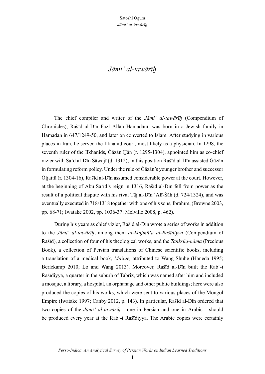### *Jāmi' al-tawārīḫ*

The chief compiler and writer of the *Jāmi' al-tawārīḫ* (Compendium of Chronicles), Rašīd al-Dīn Fażl Allāh Hamadānī, was born in a Jewish family in Hamadan in 647/1249-50, and later on converted to Islam. After studying in various places in Iran, he served the Ilkhanid court, most likely as a physician. In 1298, the seventh ruler of the Ilkhanids, Ġāzān Ḫān (r. 1295-1304), appointed him as co-chief vizier with Sa'd al-Dīn Sāwajī (d. 1312); in this position Rašīd al-Dīn assisted Ġāzān in formulating reform policy. Under the rule of Ġāzān's younger brother and successor Öljaitü (r. 1304-16), Rašīd al-Dīn assumed considerable power at the court. However, at the beginning of Abū Sa'īd's reign in 1316, Rašīd al-Dīn fell from power as the result of a political dispute with his rival Tāj al-Dīn 'Alī-Šāh (d. 724/1324), and was eventually executed in 718/1318 together with one of his sons, Ibrāhīm, (Browne 2003, pp. 68-71; Iwatake 2002, pp. 1036-37; Melville 2008, p. 462).

During his years as chief vizier, Rašīd al-Dīn wrote a series of works in addition to the *Jāmi' al-tawārīḫ*, among them *al-Majmū'a al-Rašīdiyya* (Compendium of Rašīd), a collection of four of his theological works, and the *Tanksūq-nāma* (Precious Book), a collection of Persian translations of Chinese scientific books, including a translation of a medical book, *Maijue,* attributed to Wang Shuhe (Haneda 1995; Berlekamp 2010; Lo and Wang 2013). Moreover, Rašīd al-Dīn built the Rab'-i Rašīdiyya, a quarter in the suburb of Tabriz, which was named after him and included a mosque, a library, a hospital, an orphanage and other public buildings; here were also produced the copies of his works, which were sent to various places of the Mongol Empire (Iwatake 1997; Canby 2012, p. 143). In particular, Rašīd al-Dīn ordered that two copies of the *Jāmi' al-tawārīḫ* - one in Persian and one in Arabic - should be produced every year at the Rab'-i Rašīdiyya. The Arabic copies were certainly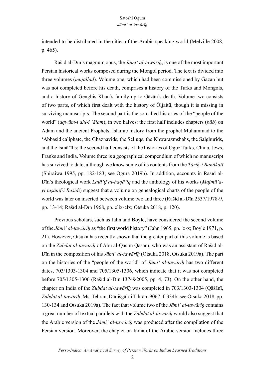intended to be distributed in the cities of the Arabic speaking world (Melville 2008, p. 465).

Rašīd al-Dīn's magnum opus, the *Jāmi' al-tawārīḫ*, is one of the most important Persian historical works composed during the Mongol period. The text is divided into three volumes (*mujallad*). Volume one, which had been commissioned by Ġāzān but was not completed before his death, comprises a history of the Turks and Mongols, and a history of Genghis Khan's family up to Ġāzān's death. Volume two consists of two parts, of which first dealt with the history of Öljaitü, though it is missing in surviving manuscripts. The second part is the so-called histories of the "people of the world" (*aqwām-i ahl-i 'ālam*), in two halves: the first half includes chapters (*bāb*) on Adam and the ancient Prophets, Islamic history from the prophet Muhammad to the 'Abbasid caliphate, the Ghaznavids, the Seljuqs, the Khwarazmshahs, the Salghurids, and the Ismā'īlis; the second half consists of the histories of Oġuz Turks, China, Jews, Franks and India. Volume three is a geographical compendium of which no manuscript has survived to date, although we know some of its contents from the *Tārīḫ-i Banākatī* (Shiraiwa 1995, pp. 182-183; see Ogura 2019b). In addition, accounts in Rašīd al-Dīn's theological work *Laṭā'if al-ḥaqā'iq* and the anthology of his works (*Majmū'ayi taṣānīf-i Rašīdī*) suggest that a volume on genealogical charts of the people of the world was later on inserted between volume two and three (Rašīd al-Dīn 2537/1978-9, pp. 13-14; Rašīd al-Dīn 1968, pp. clix-clx; Otsuka 2018, p. 120).

Previous scholars, such as Jahn and Boyle, have considered the second volume of the *Jāmi' al-tawārīḫ* as "the first world history" (Jahn 1965, pp. ix-x; Boyle 1971, p. 21). However, Otsuka has recently shown that the greater part of this volume is based on the *Zubdat al-tawārīḫ* of Abū al-Qāsim Qāšānī, who was an assistant of Rašīd al-Dīn in the composition of his *Jāmi' al-tawārīḫ* (Otsuka 2018, Otsuka 2019a). The part on the histories of the "people of the world" of *Jāmi' al-tawārīḫ* has two different dates, 703/1303-1304 and 705/1305-1306, which indicate that it was not completed before 705/1305-1306 (Rašīd al-Dīn 1374š/2005, pp. 4, 73). On the other hand, the chapter on India of the *Zubdat al-tawārīḫ* was completed in 703/1303-1304 (Qāšānī, Zubdat al-tawārī*ḥ*, Ms. Tehran, Dānišgāh-i Tihrān, 9067, f. 334b; see Otsuka 2018, pp. 130-134 and Otsuka 2019a). The fact that volume two of the *Jāmi' al-tawārīḫ* contains a great number of textual parallels with the *Zubdat al-tawārīḫ* would also suggest that the Arabic version of the *Jāmi' al-tawārīḫ* was produced after the compilation of the Persian version. Moreover, the chapter on India of the Arabic version includes three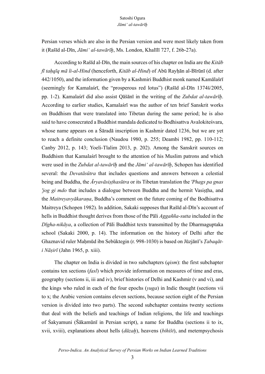Persian verses which are also in the Persian version and were most likely taken from it (Rašīd al-Dīn, *Jāmi' al-tawārīḫ*, Ms. London, Khalīlī 727, f. 26b-27a).

According to Rašīd al-Dīn, the main sources of his chapter on India are the *Kitāb fī taḥqīq mā li-al-Hind* (henceforth, *Kitāb al-Hind*) of Abū Rayḥān al-Bīrūnī (d. after 442/1050), and the information given by a Kashmiri Buddhist monk named Kamālašrī (seemingly for Kamalaśrī, the "prosperous red lotus") (Rašīd al-Dīn 1374š/2005, pp. 1-2). Kamalaśrī did also assist Qāšānī in the writing of the *Zubdat al-tawārīḫ*. According to earlier studies, Kamalaśrī was the author of ten brief Sanskrit works on Buddhism that were translated into Tibetan during the same period; he is also said to have consecrated a Buddhist mandala dedicated to Bodhisattva Avalokiteśvara, whose name appears on a Śāradā inscription in Kashmir dated 1236, but we are yet to reach a definite conclusion (Naudou 1980, p. 255; Deambi 1982, pp. 110-112; Canby 2012, p. 143; Yoeli-Tlalim 2013, p. 202). Among the Sanskrit sources on Buddhism that Kamalaśrī brought to the attention of his Muslim patrons and which were used in the *Zubdat al-tawārīḫ* and the *Jāmi' al-tawārīḫ*, Schopen has identified several: the *Devatāsūtra* that includes questions and answers between a celestial being and Buddha, the *Āryavāsiṣṭhasūtra* or its Tibetan translation the *'Phags pa gnas 'jog gi mdo* that includes a dialogue between Buddha and the hermit Vasiṣṭha, and the *Maitreyavyākaraṇa*, Buddha's comment on the future coming of the Bodhisattva Maitreya (Schopen 1982). In addition, Sakaki supposes that Rašīd al-Dīn's account of hells in Buddhist thought derives from those of the Pāli *Aggañña-sutta* included in the *Dīgha-nikāya*, a collection of Pāli Buddhist texts transmitted by the Dharmaguptaka school (Sakaki 2000, p. 14). The information on the history of Delhi after the Ghaznavid ruler Maḥmūd ibn Sebüktegin (r. 998-1030) is based on Jūzjānī's *Ṭabaqāti Nāṣirī* (Jahn 1965, p. xiii).

The chapter on India is divided in two subchapters (*qism*): the first subchapter contains ten sections (*fasl*) which provide information on measures of time and eras, geography (sections ii, iii and iv), brief histories of Delhi and Kashmir (v and vi), and the kings who ruled in each of the four epochs (*yuga*) in Indic thought (sections vii to x; the Arabic version contains eleven sections, because section eight of the Persian version is divided into two parts). The second subchapter contains twenty sections that deal with the beliefs and teachings of Indian religions, the life and teachings of Śakyamuni (Šākamūnī in Persian script), a name for Buddha (sections ii to ix, xvii, xviii), explanations about hells (*dūzaḫ*), heavens (*bihišt*), and metempsychosis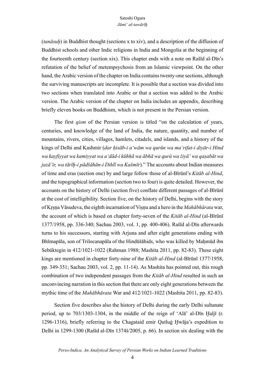(*tanāsuḫ*) in Buddhist thought (sections x to xiv), and a description of the diffusion of Buddhist schools and other Indic religions in India and Mongolia at the beginning of the fourteenth century (section xix). This chapter ends with a note on Rašīd al-Dīn's refutation of the belief of metempsychosis from an Islamic viewpoint. On the other hand, the Arabic version of the chapter on India contains twenty-one sections, although the surviving manuscripts are incomplete. It is possible that a section was divided into two sections when translated into Arabic or that a section was added to the Arabic version. The Arabic version of the chapter on India includes an appendix, describing briefly eleven books on Buddhism, which is not present in the Persian version.

The first *qism* of the Persian version is titled "on the calculation of years, centuries, and knowledge of the land of India, the nature, quantity, and number of mountains, rivers, cities, villages, hamlets, citadels, and islands, and a history of the kings of Delhi and Kashmir (*dar ḥisāb-i a'wām wa qurūn wa ma'rifat-i diyār-i Hind wa kayfiyyat wa kamiyyat wa a'dād-i kūhhā wa ābhā wa qurà wa żiyā' wa qaṣabāt wa jazā'ir, wa tārīḫ-i pādšāhān-i Dihlī wa Kašmīr*)." The accounts about Indian measures of time and eras (section one) by and large follow those of al-Bīrūnī's *Kitāb al-Hind*, and the topographical information (section two to four) is quite detailed. However, the accounts on the history of Delhi (section five) conflate different passages of al-Bīrūnī at the cost of intelligibility. Section five, on the history of Delhi, begins with the story of Kṛṣṇa Vāsudeva, the eighth incarnation of Viṣṇu and a hero in the *Mahābhārata* war, the account of which is based on chapter forty-seven of the *Kitāb al-Hind* (al-Bīrūnī 1377/1958, pp. 336-340; Sachau 2003, vol. 1, pp. 400-406). Rašīd al-Dīn afterwards turns to his successors, starting with Arjuna and after eight generations ending with Bhīmapāla, son of Trilocanapāla of the Hindūšāhids, who was killed by Mahmūd ibn Sebüktegin in 412/1021-1022 (Rahman 1988; Mashita 2011, pp. 82-83). These eight kings are mentioned in chapter forty-nine of the *Kitāb al-Hind* (al-Bīrūnī 1377/1958, pp. 349-351; Sachau 2003, vol. 2, pp. 11-14). As Mashita has pointed out, this rough combination of two independent passages from the *Kitāb al-Hind* resulted in such an unconvincing narration in this section that there are only eight generations between the mythic time of the *Mahābhārata* War and 412/1021-1022 (Mashita 2011, pp. 82-83).

Section five describes also the history of Delhi during the early Delhi sultanate period, up to  $703/1303-1304$ , in the middle of the reign of 'Al $\bar{a}$ ' al-D $\bar{b}$ n Hal $\bar{a}$ f (r. 1296-1316), briefly referring to the Chagataid emir Qutluġ Ḫwāja's expedition to Delhi in 1299-1300 (Rašīd al-Dīn 1374š/2005, p. 66). In section six dealing with the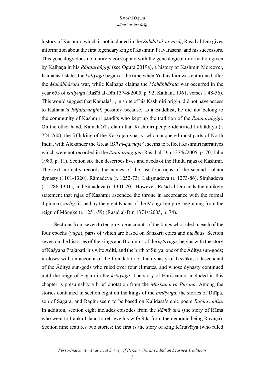history of Kashmir, which is not included in the *Zubdat al-tawārīḫ*, Rašīd al-Dīn gives information about the first legendary king of Kashmir, Pravarasena, and his successors. This genealogy does not entirely correspond with the genealogical information given by Kalhaṇa in his *Rājataraṅgiṇī* (see Ogura 2019a), a history of Kashmir. Moreover, Kamalaśrī states the *kaliyuga* began at the time when Yudhiṣṭhira was enthroned after the *Mahābhārata* war, while Kalhaṇa claims the *Mahābhārata* war occurred in the year 653 of *kaliyuga* (Rašīd al-Dīn 1374š/2005, p. 92; Kalhaṇa 1961, verses 1.48-56). This would suggest that Kamalaśrī, in spite of his Kashmiri origin, did not have access to Kalhaṇa's *Rājataraṅgiṇī*, possibly because, as a Buddhist, he did not belong to the community of Kashmiri pandits who kept up the tradition of the *Rājataraṅgiṇī*. On the other hand, Kamalaśrī's claim that Kashmiri people identified Lalitāditya (r. 724-760), the fifth king of the Kārkoṭa dynasty, who conquered most parts of North India, with Alexander the Great (*Ḏū al-qarnayn*), seems to reflect Kashmiri narratives which were not recorded in the *Rājataraṅgiṇī*s (Rašīd al-Dīn 1374š/2005, p. 70; Jahn 1980, p. 11). Section six then describes lives and deeds of the Hindu rajas of Kashmir. The text correctly records the names of the last four rajas of the second Lohara dynasty (1101-1320), Rāmadeva (r. 1252-73), Lakṣmadeva (r. 1273-86), Siṃhadeva (r. 1286-1301), and Sūhadeva (r. 1301-20). However, Rašīd al-Dīn adds the unlikely statement that rajas of Kashmir ascended the throne in accordance with the formal diploma (*yarliġ*) issued by the great Khans of the Mongol empire, beginning from the reign of Möngke (r. 1251-59) (Rašīd al-Dīn 1374š/2005, p. 74).

Sections from seven to ten provide accounts of the kings who ruled in each of the four epochs (*yuga*), parts of which are based on Sanskrit epics and *purāṇa*s. Section seven on the histories of the kings and Brahmins of the *kṛtayuga*, begins with the story of Kaśyapa Prajāpati, his wife Aditi, and the birth of Sūrya, one of the Āditya sun-gods; it closes with an account of the foundation of the dynasty of Ikṣvāku, a descendant of the Āditya sun-gods who ruled over four climates, and whose dynasty continued until the reign of Sagara in the *kṛtayuga*. The story of Hariścandra included in this chapter is presumably a brief quotation from the *Mārkandeya Purāṇa*. Among the stories contained in section eight on the kings of the *tretāyuga*, the stories of Dilīpa, son of Sagara, and Raghu seem to be based on Kālidāsa's epic poem *Raghuvaṁśa*. In addition, section eight includes episodes from the *Rāmāyana* (the story of Rāma who went to Lañkā Island to retrieve his wife Sītā from the demonic being Rāvana). Section nine features two stories: the first is the story of king Kārtavīrya (who ruled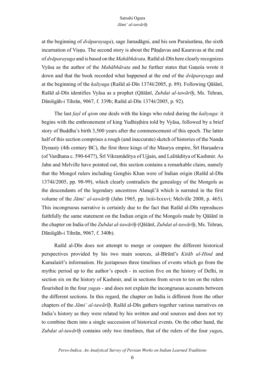at the beginning of *dvāparayuga*), sage Jamadāgni, and his son Paraśurāma, the sixth incarnation of Viṣṇu. The second story is about the Pāṇḍavas and Kauravas at the end of *dvāparayuga* and is based on the *Mahābhārata*. Rašīd al-Dīn here clearly recognizes Vyāsa as the author of the *Mahābhārata* and he further states that Gaṇeśa wrote it down and that the book recorded what happened at the end of the *dvāparayuga* and at the beginning of the *kaliyuga* (Rašīd al-Dīn 1374š/2005, p. 89). Following Qāšānī, Rašīd al-Dīn identifies Vyāsa as a prophet (Qāšānī, *Zubdat al-tawārīḫ*, Ms. Tehran, Dānišgāh-i Tihrān, 9067, f. 339b; Rašīd al-Dīn 1374š/2005, p. 92).

The last *faṣl* of *qism* one deals with the kings who ruled during the *kaliyuga*: it begins with the enthronement of king Yudhiṣṭhira told by Vyāsa, followed by a brief story of Buddha's birth 3,500 years after the commencement of this epoch. The latter half of this section comprises a rough (and inaccurate) sketch of histories of the Nanda Dynasty (4th century BC), the first three kings of the Maurya empire, Śrī Harṣadeva (of Vardhana c. 590-647?), Śrī Vikramāditya of Ujjain, and Lalitāditya of Kashmir. As Jahn and Melville have pointed out, this section contains a remarkable claim, namely that the Mongol rulers including Genghis Khan were of Indian origin (Rašīd al-Dīn 1374š/2005, pp. 98-99), which clearly contradicts the genealogy of the Mongols as the descendants of the legendary ancestress Alanqū'ā which is narrated in the first volume of the *Jāmi' al-tawārīḫ* (Jahn 1965, pp. lxiii-lxxxvi; Melville 2008, p. 465). This incongruous narrative is certainly due to the fact that Rašīd al-Dīn reproduces faithfully the same statement on the Indian origin of the Mongols made by Qāšānī in the chapter on India of the *Zubdat al-tawārīḫ* (Qāšānī, *Zubdat al-tawārīḫ*, Ms. Tehran, Dānišgāh-i Tihrān, 9067, f. 340b).

Rašīd al-Dīn does not attempt to merge or compare the different historical perspectives provided by his two main sources, al-Bīrūnī's *Kitāb al-Hind* and Kamalaśrī's information. He juxtaposes three timelines of events which go from the mythic period up to the author's epoch - in section five on the history of Delhi, in section six on the history of Kashmir, and in sections from seven to ten on the rulers flourished in the four *yuga*s - and does not explain the incongruous accounts between the different sections. In this regard, the chapter on India is different from the other chapters of the *Jāmi' al-tawārīḫ*. Rašīd al-Dīn gathers together various narratives on India's history as they were related by his written and oral sources and does not try to combine them into a single succession of historical events. On the other hand, the *Zubdat al-tawārīḫ* contains only two timelines, that of the rulers of the four *yuga*s,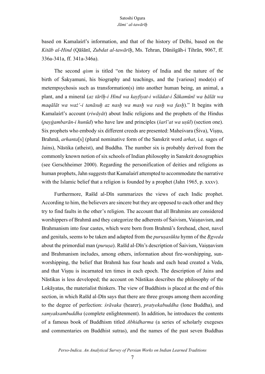based on Kamalaśrī's information, and that of the history of Delhi, based on the *Kitāb al-Hind* (Qāšānī, *Zubdat al-tawārīḫ*, Ms. Tehran, Dānišgāh-i Tihrān, 9067, ff. 336a-341a, ff. 341a-346a).

The second *qism* is titled "on the history of India and the nature of the birth of Śakyamuni, his biography and teachings, and the [various] mode(s) of metempsychosis such as transformation(s) into another human being, an animal, a plant, and a mineral (*az tārīḫ-i Hind wa kayfiyat-i wilādat-i Šākamūnī wa ḥālāt wa maqālāt wa waż'-i tanāsuḫ az nasḫ wa masḫ wa rasḫ wa fasḫ*)." It begins with Kamalaśrī's account (*riwāyāt*) about Indic religions and the prophets of the Hindus (*payġambarān-i hunūd*) who have law and principles (*šarī'at wa uṣūl*) (section one). Six prophets who embody six different creeds are presented: Maheśvara (Śiva), Viṣṇu, Brahmā, *arhanta*[s] (plural nominative form of the Sanskrit word *arhat*, i.e. sages of Jains), Nāstika (atheist), and Buddha. The number six is probably derived from the commonly known notion of six schools of Indian philosophy in Sanskrit doxographies (see Gerschheimer 2000). Regarding the personification of deities and religions as human prophets, Jahn suggests that Kamalaśrī attempted to accommodate the narrative with the Islamic belief that a religion is founded by a prophet (Jahn 1965, p. xxxv).

Furthermore, Rašīd al-Dīn summarizes the views of each Indic prophet. According to him, the believers are sincere but they are opposed to each other and they try to find faults in the other's religion. The account that all Brahmins are considered worshippers of Brahmā and they categorize the adherents of Śaivism, Vaiṣṇavism, and Brahmanism into four castes, which were born from Brahmā's forehead, chest, navel and genitals, seems to be taken and adapted from the *puruṣasūkta* hymn of the *Ṛgveda* about the primordial man *(purusa)*. Rašīd al-Dīn's description of Śaivism, Vaisnavism and Brahmanism includes, among others, information about fire-worshipping, sunworshipping, the belief that Brahmā has four heads and each head created a Veda, and that Viṣṇu is incarnated ten times in each epoch. The description of Jains and Nāstikas is less developed; the account on Nāstikas describes the philosophy of the Lokāyatas, the materialist thinkers. The view of Buddhists is placed at the end of this section, in which Rašīd al-Dīn says that there are three groups among them according to the degree of perfection: *śrāvaka* (hearer), *pratyekabuddha* (lone Buddha), and *samyaksambuddha* (complete enlightenment). In addition, he introduces the contents of a famous book of Buddhism titled *Abhidharma* (a series of scholarly exegeses and commentaries on Buddhist sutras), and the names of the past seven Buddhas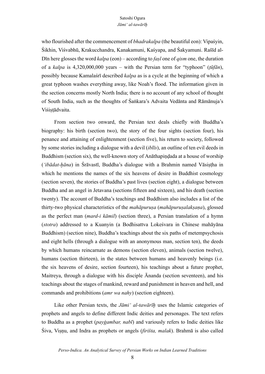who flourished after the commencement of *bhadrakalpa* (the beautiful eon): Vipaśyin, Śikhin, Viśvabhū, Krakucchandra, Kanakamuni, Kaśyapa, and Śakyamuni. Rašīd al-Dīn here glosses the word *kalpa* (eon) – according to *faṣl* one of *qism* one, the duration of a *kalpa* is 4,320,000,000 years – with the Persian term for "typhoon" (*ṭūfān*), possibly because Kamalaśrī described *kalpa* as is a cycle at the beginning of which a great typhoon washes everything away, like Noah's flood. The information given in the section concerns mostly North India; there is no account of any school of thought of South India, such as the thoughts of Śaṅkara's Advaita Vedānta and Rāmānuja's Viśistādvaita.

From section two onward, the Persian text deals chiefly with Buddha's biography: his birth (section two), the story of the four sights (section four), his penance and attaining of enlightenment (section five), his return to society, followed by some stories including a dialogue with a devil (*iblīs*), an outline of ten evil deeds in Buddhism (section six), the well-known story of Anāthapiṇḍada at a house of worship (*'ibādat-ḫāna*) in Śrāvastī, Buddha's dialogue with a Brahmin named Vāsiṣṭha in which he mentions the names of the six heavens of desire in Buddhist cosmology (section seven), the stories of Buddha's past lives (section eight), a dialogue between Buddha and an angel in Jetavana (sections fifteen and sixteen), and his death (section twenty). The account of Buddha's teachings and Buddhism also includes a list of the thirty-two physical characteristics of the *mahāpuruṣa* (*mahāpuruṣalakṣaṇa*), glossed as the perfect man (*mard-i kāmil*) (section three), a Persian translation of a hymn (*stotra*) addressed to a Kuanyin (a Bodhisattva Lokeśvara in Chinese mahāyāna Buddhism) (section nine), Buddha's teachings about the six paths of metempsychosis and eight hells (through a dialogue with an anonymous man, section ten), the deeds by which humans reincarnate as demons (section eleven), animals (section twelve), humans (section thirteen), in the states between humans and heavenly beings (i.e. the six heavens of desire, section fourteen), his teachings about a future prophet, Maitreya, through a dialogue with his disciple Ānanda (section seventeen), and his teachings about the stages of mankind, reward and punishment in heaven and hell, and commands and prohibitions (*amr wa nahy*) (section eighteen).

Like other Persian texts, the *Jāmi' al-tawārīh* uses the Islamic categories of prophets and angels to define different Indic deities and personages. The text refers to Buddha as a prophet (*payġambar, nabī*) and variously refers to Indic deities like Śiva, Viṣṇu, and Indra as prophets or angels (*firišta, malak*). Brahmā is also called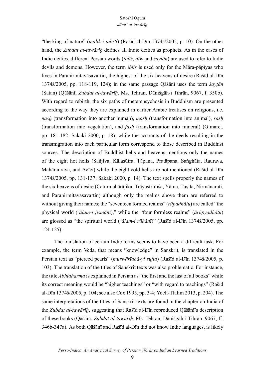"the king of nature" (*malik-i ṭabī'ī*) (Rašīd al-Dīn 1374š/2005, p. 10). On the other hand, the *Zubdat al-tawārīḫ* defines all Indic deities as prophets. As in the cases of Indic deities, different Persian words (*iblīs*, *dīw* and *šayṭān*) are used to refer to Indic devils and demons. However, the term *iblīs* is used only for the Māra-pāpīyas who lives in Paranirmitavāsavartin, the highest of the six heavens of desire (Rašīd al-Dīn 1374š/2005, pp. 118-119, 124); in the same passage Qāšānī uses the term *šayṭān* (Satan) (Qāšānī, *Zubdat al-tawārīḫ*, Ms. Tehran, Dānišgāh-i Tihrān, 9067, f. 350b). With regard to rebirth, the six paths of metempsychosis in Buddhism are presented according to the way they are explained in earlier Arabic treatises on religions, i.e. *nasḫ* (transformation into another human), *masḫ* (transformation into animal), *rasḫ* (transformation into vegetation), and *fasḫ* (transformation into mineral) (Gimaret, pp. 181-182; Sakaki 2000, p. 18), while the accounts of the deeds resulting in the transmigration into each particular form correspond to those described in Buddhist sources. The description of Buddhist hells and heavens mentions only the names of the eight hot hells (Sañjīva, Kālasūtra, Tāpana, Pratāpana, Saṅghāta, Raurava, Mahāraurava, and Avīci) while the eight cold hells are not mentioned (Rašīd al-Dīn 1374š/2005, pp. 131-137; Sakaki 2000, p. 14). The text spells properly the names of the six heavens of desire (Caturmahārājika, Trāyastriṁśa, Yāma, Tuṣita, Nirmāṇarati, and Paranirmitavāsavartin) although only the realms above them are referred to without giving their names; the "seventeen formed realms" (*rūpadhātu*) are called "the physical world (*'ālam-i jismānī*)," while the "four formless realms" (*ārūpyadhātu*) are glossed as "the spiritual world (*'ālam-i rūḥānī*)" (Rašīd al-Dīn 1374š/2005, pp. 124-125).

The translation of certain Indic terms seems to have been a difficult task. For example, the term Veda, that means "knowledge" in Sanskrit, is translated in the Persian text as "pierced pearls" (*murwārīdhā-yi sufta*) (Rašīd al-Dīn 1374š/2005, p. 103). The translation of the titles of Sanskrit texts was also problematic. For instance, the title *Abhidharma* is explained in Persian as "the first and the last of all books" while its correct meaning would be "higher teachings" or "with regard to teachings" (Rašīd al-Dīn 1374š/2005, p. 104; see also Cox 1995, pp. 3-4; Yoeli-Tlalim 2013, p. 204). The same interpretations of the titles of Sanskrit texts are found in the chapter on India of the *Zubdat al-tawārīḫ*, suggesting that Rašīd al-Dīn reproduced Qāšānī's description of these books (Qāšānī, *Zubdat al-tawārīḫ*, Ms. Tehran, Dānišgāh-i Tihrān, 9067, ff. 346b-347a). As both Qāšānī and Rašīd al-Dīn did not know Indic languages, is likely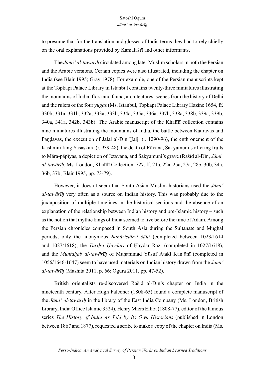to presume that for the translation and glosses of Indic terms they had to rely chiefly on the oral explanations provided by Kamalaśrī and other informants.

The *Jāmi' al-tawārīḫ* circulated among later Muslim scholars in both the Persian and the Arabic versions. Certain copies were also illustrated, including the chapter on India (see Blair 1995; Gray 1978). For example, one of the Persian manuscripts kept at the Topkapı Palace Library in Istanbul contains twenty-three miniatures illustrating the mountains of India, flora and fauna, architectures, scenes from the history of Delhi and the rulers of the four *yuga*s (Ms. Istanbul, Topkapı Palace Library Hazine 1654, ff. 330b, 331a, 331b, 332a, 333a, 333b, 334a, 335a, 336a, 337b, 338a, 338b, 339a, 339b, 340a, 341a, 342b, 343b). The Arabic manuscript of the Khalīlī collection contains nine miniatures illustrating the mountains of India, the battle between Kauravas and Pāṇḍavas, the execution of Jalāl al-Dīn Ḫaljī (r. 1290-96), the enthronement of the Kashmiri king Yaśaskara (r. 939-48), the death of Rāvaṇa, Śakyamuni's offering fruits to Māra-pāpīyas, a depiction of Jetavana, and Śakyamuni's grave (Rašīd al-Dīn, *Jāmi' al-tawārīḫ*, Ms. London, Khalīlī Collection, 727, ff. 21a, 22a, 25a, 27a, 28b, 30b, 34a, 36b, 37b; Blair 1995, pp. 73-79).

However, it doesn't seem that South Asian Muslim historians used the *Jāmi' al-tawārīḫ* very often as a source on Indian history. This was probably due to the juxtaposition of multiple timelines in the historical sections and the absence of an explanation of the relationship between Indian history and pre-Islamic history – such as the notion that mythic kings of India seemed to live before the time of Adam. Among the Persian chronicles composed in South Asia during the Sultanate and Mughal periods, only the anonymous *Bahāristān-i šāhī* (completed between 1023/1614 and 1027/1618), the *Tārīḫ-i Ḥaydarī* of Ḥaydar Rāzī (completed in 1027/1618), and the *Muntaḫab al-tawārīḫ* of Muḥammad Yūsuf Aṭakī Kan'ānī (completed in 1056/1646-1647) seem to have used materials on Indian history drawn from the *Jāmi' al-tawārīḫ* (Mashita 2011, p. 66; Ogura 2011, pp. 47-52).

British orientalists re-discovered Rašīd al-Dīn's chapter on India in the nineteenth century. After Hugh Falconer (1808-65) found a complete manuscript of the *Jāmi' al-tawārīḫ* in the library of the East India Company (Ms. London, British Library, India Office Islamic 3524), Henry Miers Elliot (1808-77), editor of the famous series *The History of India As Told by Its Own Historians* (published in London between 1867 and 1877), requested a scribe to make a copy of the chapter on India (Ms.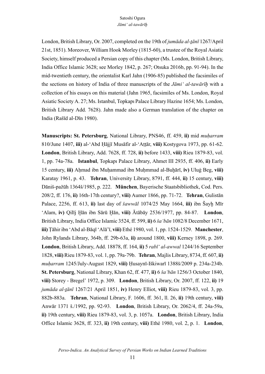London, British Library, Or. 2007, completed on the 19th of *jumāda al-tānī* 1267/April 21st, 1851). Moreover, William Hook Morley (1815-60), a trustee of the Royal Asiatic Society, himself produced a Persian copy of this chapter (Ms. London, British Library, India Office Islamic 3628; see Morley 1842, p. 267; Otsuka 2016b, pp. 91-94). In the mid-twentieth century, the orientalist Karl Jahn (1906-85) published the facsimiles of the sections on history of India of three manuscripts of the *Jāmi' al-tawārīḫ* with a collection of his essays on this material (Jahn 1965, facsimiles of Ms. London, Royal Asiatic Society A. 27; Ms. Istanbul, Topkapı Palace Library Hazine 1654; Ms. London, British Library Add. 7628). Jahn made also a German translation of the chapter on India (Rašīd al-Dīn 1980).

**Manuscripts: St. Petersburg**, National Library, PNS46, ff. 459, **ii)** mid *muḥarram* 810/June 1407, **iii)** al-'Abd Ḥājjī Musāfir al-'Aṭṭār, **viii)** Kostygova 1973, pp. 61-62. **London**, British Library, Add. 7628, ff. 728, **ii)** before 1433, **viii)** Rieu 1879-83, vol. 1, pp. 74a-78a. **Istanbul**, Topkapı Palace Library, Ahmet III 2935, ff. 406, **ii)** Early 15 century, **iii)** Aḥmad ibn Muḥammad ibn Muḥmmad al-Buḫārī, **iv)** Uluġ Beg, **viii)** Karatay 1961, p. 43. **Tehran**, University Library, 8791, ff. 444, **ii)** 15 century, **viii)** Dāniš-pažūh 1364š/1985, p. 222. **München**, Bayerische Staatsbibliothek, Cod. Pers. 208/2, ff. 176, **ii)** 16th-17th century?, **viii)** Aumer 1866, pp. 71-72. **Tehran**, Gulistān Palace, 2256, ff. 613, **ii)** last day of *šawwāl* 1074/25 May 1664, **iii)** ibn Šayḫ Mīr 'Alam, **iv)** Qilīj Ḫān ibn Sārū Ḫān, **viii)** Ātābāy 2536/1977, pp. 84-87. **London**, British Library, India Office Islamic 3524, ff. 599, **ii)** 6 *ša'bān* 1082/8 December 1671, **iii)** Ṭāhir ibn 'Abd al-Bāqī 'Alā'ī, **viii)** Ethé 1980, vol. 1, pp. 1524-1529. **Manchester**, John Rylands Library, 364b, ff. 29b-63a, **ii)** around 1800, **viii)** Kerney 1898, p. 269. **London**, British Library, Add. 18878, ff. 164, **ii)** 5 *rabī' al-awwal* 1244/16 September 1828, **viii)** Rieu 1879-83, vol. 1, pp. 79a-79b. **Tehran**, Majlis Library, 8734, ff. 607, **ii)** *muḥarram* 1245/July-August 1829, **viii)** Ḥusaynī-Iškiwarī 1388š/2009 p. 234a-234b. **St. Petersburg**, National Library, Khan 62, ff. 477, **ii)** 6 *ša'bān* 1256/3 October 1840, **viii)** Storey - Bregel' 1972, p. 309. **London**, British Library, Or. 2007, ff. 122, **ii)** 19 *jumāda al-ṯānī* 1267/21 April 1851, **iv)** Henry Elliot, **viii)** Rieu 1879-83, vol. 3, pp. 882b-883a. **Tehran**, National Library, F. 1606, ff. 361, ll. 26, **ii)** 19th century, **viii)** Anwār 1371 š./1992, pp. 92-93. **London**, British Library, Or. 2062/4, ff. 24a-59a, **ii)** 19th century, **viii)** Rieu 1879-83, vol. 3, p. 1057a. **London**, British Library, India Office Islamic 3628, ff. 323, **ii)** 19th century, **viii)** Ethé 1980, vol. 2, p. 1. **London**,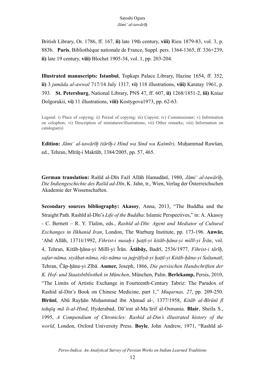British Library, Or. 1786, ff. 167, **ii)** late 19th century, **viii)** Rieu 1879-83, vol. 3, p. 883b. **Paris**, Bibliothèque nationale de France, Suppl. pers. 1364-1365, ff. 336+239, **ii)** late 19 century, **viii)** Blochet 1905-34, vol. 1, pp. 203-204.

**Illustrated manuscripts: Istanbul**, Topkapı Palace Library, Hazine 1654, ff. 352, **ii)** 3 *jumāda al-awwal* 717/14 July 1317, **vi)** 118 illustrations, **viii)** Karatay 1961, p. 393. **St. Petersburg**, National Library, PNS 47, ff. 607, **ii)** 1268/1851-2, **iii)** Kniaz Dolgorukii, **vi)** 11 illustrations, **viii)** Kostygova1973, pp. 62-63.

Legend: i) Place of copying; ii) Period of copying; iii) Copyist; iv) Commissioner; v) Information on colophon; vi) Description of miniatures/illustrations; vii) Other remarks; viii) Information on catalogue(s)

**Edition:** *Jāmi' al-tawārīḫ (tārīḫ-i Hind wa Sind wa Kašmīr),* Muḥammad Rawšan, ed., Tehran, Mīrāt-i Maktūb, 1384/2005, pp. 57, 465.

**German translation:** Rašīd al-Dīn Fażl Allāh Hamadānī, 1980, *Jāmi' al-tawārīḫ*, *Die Indiengeschichte des Rašīd ad-Dīn*, K. Jahn, tr., Wien, Verlag der Österreichschen Akademie der Wissenschaften.

**Secondary sources bibliography: Akasoy**, Anna, 2013, "The Buddha and the Straight Path. Rashīd al-Dīn's *Life of the Buddha*: Islamic Perspectives," in: A. Akasoy - C. Bernett – R. Y. Tlalim, eds., *Rashīd al-Dīn: Agent and Mediator of Cultural Exchanges in Ilkhanid Iran*, London, The Warburg Institute, pp. 173-196. **Anwār,** 'Abd Allāh, 1371š/1992, *Fihrist-i nusaḫ-i ḫaṭṭī-yi kitāb-ḫāna-yi millī-yi Īrān*, vol. 4, Tehran, Kitāb-ḫāna-yi Millī-yi Īrān. **Ātābāy,** Badrī, 2536/1977, *Fihrist-i tārīḫ, safar-nāma, siyāḥat-nāma, rūz-nāma va juġrāfiyā-yi ḫaṭṭī-yi Kitāb-ḫāna-yi Salṭanatī*, Tehran, Čāp-ḫāna-yi Zībā. **Aumer,** Joseph, 1866, *Die persischen Handschriften der K. Hof- und Staatsbibliothek in München*, München, Palm. **Berlekamp,** Persis, 2010, "The Limits of Artistic Exchange in Fourteenth-Century Tabriz: The Paradox of Rashid al-Din's Book on Chinese Medicine, part 1," *Muqarnas, 27*, pp. 209-250. **Bīrūnī**, Abū Rayḥān Muḥammad ibn Aḥmad al-, 1377/1958, *Kitāb al-Bīrūnī fī taḥqīq mā li-al-Hind*, Hyderabad, Dā'irat al-Ma*'*ārif al-Osmania. **Blair**, Sheila S., 1995, *A Compendium of Chronicles: Rashid al-Din's illustrated history of the world*, London, Oxford University Press. **Boyle**, John Andrew, 1971, "Rashīd al-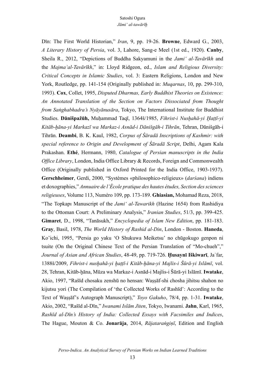Dīn: The First World Historian," *Iran*, 9, pp. 19-26. **Browne**, Edward G., 2003, *A Literary History of Persia*, vol. 3, Lahore, Sang-e Meel (1st ed., 1920). **Canby**, Sheila R., 2012, "Depictions of Buddha Sakyamuni in the *Jami' al-Tavārīkh* and the *Majma'al-Tavārīkh*," in: Lloyd Ridgeon, ed., *Islam and Religious Diversity: Critical Concepts in Islamic Studies*, vol. 3: Eastern Religions, London and New York, Routledge, pp. 141-154 (Originally published in: *Muqarnas*, 10, pp. 299-310, 1993). **Cox**, Collet, 1995, *Disputed Dharmas, Early Buddhist Theories on Existence: An Annotated Translation of the Section on Factors Dissociated from Thought from Saṅghabhadra's Nyāyānusāra*, Tokyo, The International Institute for Buddhist Studies. **Dānišpažūh,** Muḥammad Taqī, 1364š/1985, *Fihrist-i Nusḫahā-yi Ḫaṭṭī-yi Kitāb-ḫāna-yi Markazī wa Markaz-i Asnād-i Dānišgāh-i Tihrān*, Tehran, Dānišgāh-i Tihrān. **Deambi**, B. K. Kaul, 1982, *Corpus of Śāradā Inscriptions of Kashmir: with special reference to Origin and Development of Śāradā Script*, Delhi, Agam Kala Prakashan. **Ethé**, Hermann, 1980, *Catalogue of Persian manuscripts in the India Office Library*, London, India Office Library & Records, Foreign and Commonwealth Office (Originally published in Oxford Printed for the India Office, 1903-1937). **Gerschheimer**, Gerdi, 2000, "Systèmes «philosophico-religieux» (*darśana*) indiens et doxographies," *Annuaire de l'École pratique des hautes études, Section dessciences religieuses*, Volume 113, Numéro 109, pp. 173-189. **Ghiasian,** Mohamad Reza, 2018, "The Topkapı Manuscript of the *Jami' al-Tawarikh* (Hazine 1654) from Rashidiya to the Ottoman Court: A Preliminary Analysis," *Iranian Studies*, 51/3, pp. 399-425. **Gimaret**, D., 1998, "Tanāsukh," *Encyclopedia of Islam New Edition*, pp. 181-183. **Gray**, Basil, 1978, *The World History of Rashid al-Din*, London - Boston. **Haneda**, Ko'ichi, 1995, "Persia go yaku 'O Shukuwa Meiketsu' no chūgokugo genpon ni tsuite (On the Original Chinese Text of the Persian Translation of "Mo-chueh"," *Journal of Asian and African Studies*, 48-49, pp. 719-726. **Ḥusaynī Iškiwarī**, Jaʿfar, 1388š/2009, *Fihrist-i nusḫahā-yi ḫaṭṭī-i Kitāb-ḫāna-yi Majlis-i Šūrā-yi Islāmī*, vol. 28, Tehran, Kitāb-ḫāna, Mūza wa Markaz-i Asnād-i Majlis-i Šūrā-yi Islāmī. **Iwatake**, Akio, 1997, "Rašīd chosaku zenshū no hensan: Waṣṣāf-shi chosha jihitsu shahon no kijutsu yori (The Compilation of 'the Collected Works of Rashīd': According to the Text of Waṣṣāf's Autograph Manuscript)," *Toyo Gakuho*, 78/4, pp. 1-31. **Iwatake**, Akio, 2002, "Rašīd al-Dīn," *Iwanami Islām Jiten*, Tokyo, Iwanami. **Jahn**, Karl, 1965, *Rashīd al-Dīn's History of India: Collected Essays with Facsimiles and Indices*, The Hague, Mouton & Co. **Jonarāja**, 2014, *Rājataraṅgiṇī*, Edition and English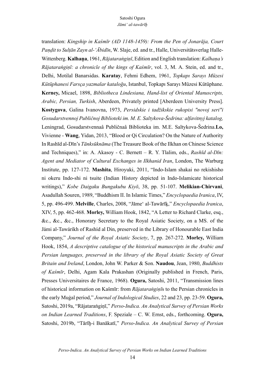translation: *Kingship in Kaśmīr (AD 1148-1459): From the Pen of Jonarāja, Court Paṇḍit to Sulṭān Zayn al-'Ābidīn*, W. Slaje, ed. and tr., Halle, Universitätsverlag Halle-Wittenberg. **Kalhaṇa**, 1961, *Rājataraṅgiṇī*, Edition and English translation: *Kalhaṇa's Rājataraṅgiṇī: a chronicle of the kings of Kaśmīr*, vol. 3, M. A. Stein, ed. and tr., Delhi, Motilal Banarsidas. **Karatay**, Fehmi Edhem, 1961, *Topkapı Sarayı Müzesi Kütüphanesi Farsça yazmalar kataloğu*, Istanbul, Topkapı Sarayı Müzesi Kütüphane. **Kerney,** Micael, 1898, *Bibliotheca Lindesiana, Hand-list of Oriental Manuscripts, Arabic, Persian, Turkish*, Aberdeen, Privately printed [Aberdeen University Press]. **Kostygova**, Galina Ivanovna, 1973, *Persidskie i tadžikskie rukopisi "novoj seri"i Gosudarstvennoj Publičnoj Biblioteki im. M. E. Saltykova-Ŝedrina: alfavitnyj katalog,* Leningrad, Gosudarstvennaâ Publičnaâ Biblioteka im. M.E. Saltykova-Ŝedrina.**Lo,** Vivienne - **Wang**, Yidan, 2013, "Blood or Qi Circulation? On the Nature of Authority In Rashīd al-Dīn's *Tānksūknāma* (The Treasure Book of the Ilkhan on Chinese Science and Techniques)," in: A. Akasoy - C. Bernett – R. Y. Tlalim, eds., *Rashīd al-Dīn: Agent and Mediator of Cultural Exchanges in Ilkhanid Iran*, London, The Warburg Institute, pp. 127-172. **Mashita**, Hiroyuki, 2011, "Indo-Islam shakai no rekishisho ni okeru Indo-shi ni tsuite (Indian History depicted in Indo-Islamicate historical writings)," *Kobe Daigaku Bungakubu Kiyō*, 38, pp. 51-107. **Melikian-Chirvani**, Asadullah Souren, 1989, "Buddhism II. In Islamic Times," *Encyclopaedia Iranica*, IV, 5, pp. 496-499. **Melville**, Charles, 2008, "Jāme' al-Tawārīḵ," *Encyclopaedia Iranica*, XIV, 5, pp. 462-468. **Morley,** William Hook, 1842, "A Letter to Richard Clarke, esq., &c., &c., &c., Honorary Secretary to the Royal Asiatic Society, on a MS. of the Jámi al-Tawáríkh of Rashíd al Din, preserved in the Library of Honourable East India Company," *Journal of the Royal Asiatic Society*, 7, pp. 267-272. **Morley,** William Hook, 1854, *A descriptive catalogue of the historical manuscripts in the Arabic and Persian languages, preserved in the library of the Royal Asiatic Society of Great Britain and Ireland*, London, John W. Parker & Son. **Naudou**, Jean, 1980, *Buddhists of Kaśmīr*, Delhi, Agam Kala Prakashan (Originally published in French, Paris, Presses Universitaires de France, 1968). **Ogura,** Satoshi, 2011, "Transmission lines of historical information on Kašmīr: from *Rājataraṅgiṇī*s to the Persian chronicles in the early Muġal period," *Journal of Indological Studies*, 22 and 23, pp. 23-59. **Ogura,** Satoshi, 2019a, "Rājataraṅgiṇī," *Perso-Indica. An Analytical Survey of Persian Works on Indian Learned Traditions*, F. Speziale – C. W. Ernst, eds., forthcoming. **Ogura,** Satoshi, 2019b, "Tārīḫ-i Banākatī," *Perso-Indica. An Analytical Survey of Persian*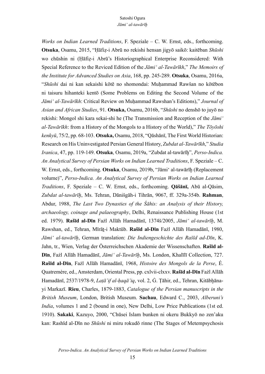*Works on Indian Learned Traditions*, F. Speziale – C. W. Ernst, eds., forthcoming. **Otsuka**, Osamu, 2015, "Ḥāfiẓ-i Abrū no rekishi hensan jigyō saikō: kaitēban *Shūshi* wo chūshin ni (Ḥāfiẓ-i Abrū's Historiographical Enterprise Reconsidered: With Special Reference to the Reviced Edition of the *Jāmi' al-Tawārīkh*," *The Memoirs of the Institute for Advanced Studies on Asia*, 168, pp. 245-289. **Otsuka**, Osamu, 2016a, "*Shūshi* dai ni kan sekaishi kōtē no shomondai: Muḥammad Rawšan no kōtēbon ni taisuru hihanteki kentō (Some Problems on Editing the Second Volume of the *Jāmi' al-Tawārīkh*: Critical Review on Muḥammad Rawshan's Editions)," *Journal of Asian and African Studies*, 91. **Otsuka,** Osamu, 2016b, "*Shūshi* no denshō to juyō no rekishi: Mongol shi kara sekai-shi he (The Transmission and Reception of the *Jāmi' al-Tawārīkh*: from a History of the Mongols to a History of the World)," *The Tōyōshi kenkyū*, 75/2, pp. 68-103. **Otsuka,** Osamu, 2018, "Qāshānī, The First World Historian: Research on His Uninvestigated Persian General History, *Zubdat al-Tawārīkh*," *Studia Iranica*, 47, pp. 119-149. **Otsuka**, Osamu, 2019a, "Zubdat al-tawārīḫ", *Perso-Indica. An Analytical Survey of Persian Works on Indian Learned Traditions*, F. Speziale – C. W. Ernst, eds., forthcoming. **Otsuka**, Osamu, 2019b, "Jāmi' al-tawārīḫ (Replacement volume)", *Perso-Indica. An Analytical Survey of Persian Works on Indian Learned Traditions*, F. Speziale – C. W. Ernst, eds., forthcoming. **Qāšānī,** Abū al-Qāsim, *Zubdat al-tawārīḫ*, Ms. Tehran, Dānišgāh-i Tihrān, 9067, ff. 329a-354b. **Rahman**, Abdur, 1988, *The Last Two Dynasties of the Śāhis: an Analysis of their History, archaeology, coinage and palaeography*, Delhi, Renaissance Publishing House (1st ed. 1979). **Rašīd al-Dīn** Fażl Allāh Hamadānī, 1374š/2005, *Jāmi' al-tawārīḫ*, M. Rawshan, ed., Tehran, Mīrāṯ-i Maktūb. **Rašīd al-Dīn** Fażl Allāh Hamadānī, 1980, *Jāmi' al-tawārīḫ*, German translation: *Die Indiengeschichte des Rašīd ad-Dīn*, K. Jahn, tr., Wien, Verlag der Österreichschen Akademie der Wissenschaften. **Rašīd al-Dīn**, Fażl Allāh Hamadānī, *Jāmi' al-Tawārīḫ*, Ms. London, Khalīlī Collection, 727. **Rašīd al-Dīn**, Fażl Allāh Hamadānī, 1968, *Histoire des Mongols de la Perse*, É. Quatremère, ed., Amsterdam, Oriental Press, pp. cxlvii-clxxv. **Rašīd al-Dīn** Fażl Allāh Hamadānī, 2537/1978-9, *Laṭā'if al-ḥaqā'iq*, vol. 2, Ġ. Ṭāhir, ed., Tehran, Kitābḫānayi Markazī. **Rieu**, Charles, 1879-1883, *Catalogue of the Persian manuscripts in the British Museum*, London, British Museum. **Sachau**, Edward C., 2003, *Alberuni's India*, volumes 1 and 2 (bound in one), New Delhi, Low Price Publications (1st ed. 1910). **Sakaki**, Kazuyo, 2000, "Chūsei Islam bunken ni okeru Bukkyō no zen'aku kan: Rashīd al-Dīn no *Shūshi* ni miru rokudō rinne (The Stages of Metempsychosis